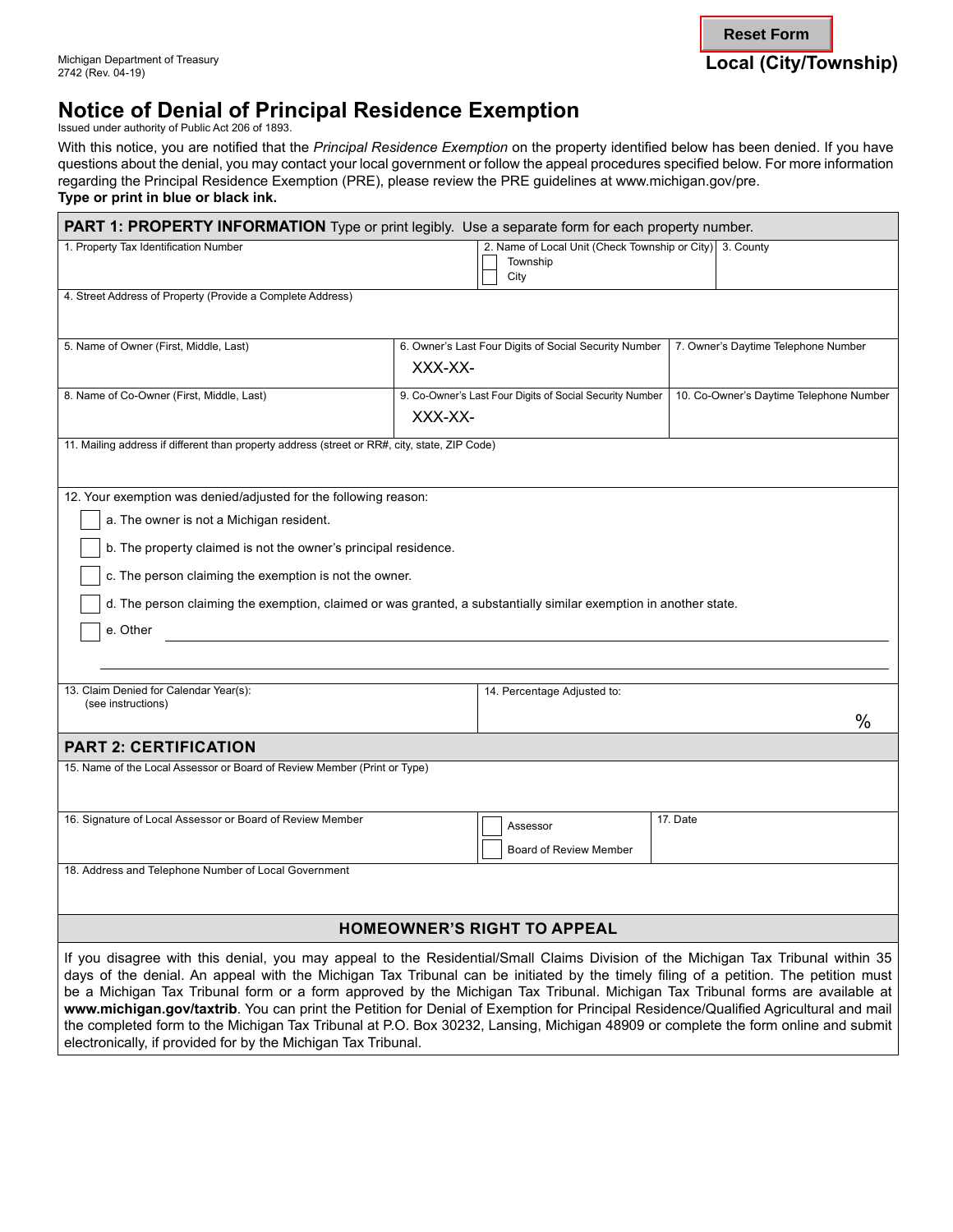# **Notice of Denial of Principal Residence Exemption**

Issued under authority of Public Act 206 of 1893.

With this notice, you are notified that the *Principal Residence Exemption* on the property identified below has been denied. If you have questions about the denial, you may contact your local government or follow the appeal procedures specified below. For more information regarding the Principal Residence Exemption (PRE), please review the PRE guidelines at [www.michigan.gov/pre.](www.michigan.gov/pre)

**Type or print in blue or black ink.** 

electronically, if provided for by the Michigan Tax Tribunal.

| <b>PART 1: PROPERTY INFORMATION</b> Type or print legibly. Use a separate form for each property number.                            |                                                                              |                                         |
|-------------------------------------------------------------------------------------------------------------------------------------|------------------------------------------------------------------------------|-----------------------------------------|
| 1. Property Tax Identification Number                                                                                               | 2. Name of Local Unit (Check Township or City) 3. County<br>Township<br>City |                                         |
| 4. Street Address of Property (Provide a Complete Address)                                                                          |                                                                              |                                         |
| 5. Name of Owner (First, Middle, Last)                                                                                              | 6. Owner's Last Four Digits of Social Security Number<br>XXX-XX-             | 7. Owner's Daytime Telephone Number     |
| 8. Name of Co-Owner (First, Middle, Last)                                                                                           | 9. Co-Owner's Last Four Digits of Social Security Number<br>XXX-XX-          | 10. Co-Owner's Daytime Telephone Number |
| 11. Mailing address if different than property address (street or RR#, city, state, ZIP Code)                                       |                                                                              |                                         |
| 12. Your exemption was denied/adjusted for the following reason:                                                                    |                                                                              |                                         |
| a. The owner is not a Michigan resident.                                                                                            |                                                                              |                                         |
| b. The property claimed is not the owner's principal residence.                                                                     |                                                                              |                                         |
|                                                                                                                                     |                                                                              |                                         |
| c. The person claiming the exemption is not the owner.                                                                              |                                                                              |                                         |
| d. The person claiming the exemption, claimed or was granted, a substantially similar exemption in another state.                   |                                                                              |                                         |
| e. Other                                                                                                                            |                                                                              |                                         |
|                                                                                                                                     |                                                                              |                                         |
|                                                                                                                                     |                                                                              |                                         |
| 13. Claim Denied for Calendar Year(s):                                                                                              | 14. Percentage Adjusted to:                                                  |                                         |
| (see instructions)                                                                                                                  |                                                                              | $\%$                                    |
|                                                                                                                                     |                                                                              |                                         |
| <b>PART 2: CERTIFICATION</b>                                                                                                        |                                                                              |                                         |
| 15. Name of the Local Assessor or Board of Review Member (Print or Type)                                                            |                                                                              |                                         |
|                                                                                                                                     |                                                                              |                                         |
| 16. Signature of Local Assessor or Board of Review Member                                                                           | Assessor                                                                     | 17. Date                                |
|                                                                                                                                     | Board of Review Member                                                       |                                         |
| 18. Address and Telephone Number of Local Government                                                                                |                                                                              |                                         |
|                                                                                                                                     |                                                                              |                                         |
| <b>HOMEOWNER'S RIGHT TO APPEAL</b>                                                                                                  |                                                                              |                                         |
| If you disagree with this denial, you may appeal to the Residential/Small Claims Division of the Michigan Tax Tribunal within 35    |                                                                              |                                         |
| days of the denial. An appeal with the Michigan Tax Tribunal can be initiated by the timely filing of a petition. The petition must |                                                                              |                                         |
| be a Michigan Tax Tribunal form or a form approved by the Michigan Tax Tribunal. Michigan Tax Tribunal forms are available at       |                                                                              |                                         |

**www.michigan.gov/taxtrib**. You can print the Petition for Denial of Exemption for Principal Residence/Qualified Agricultural and mail the completed form to the Michigan Tax Tribunal at P.O. Box 30232, Lansing, Michigan 48909 or complete the form online and submit